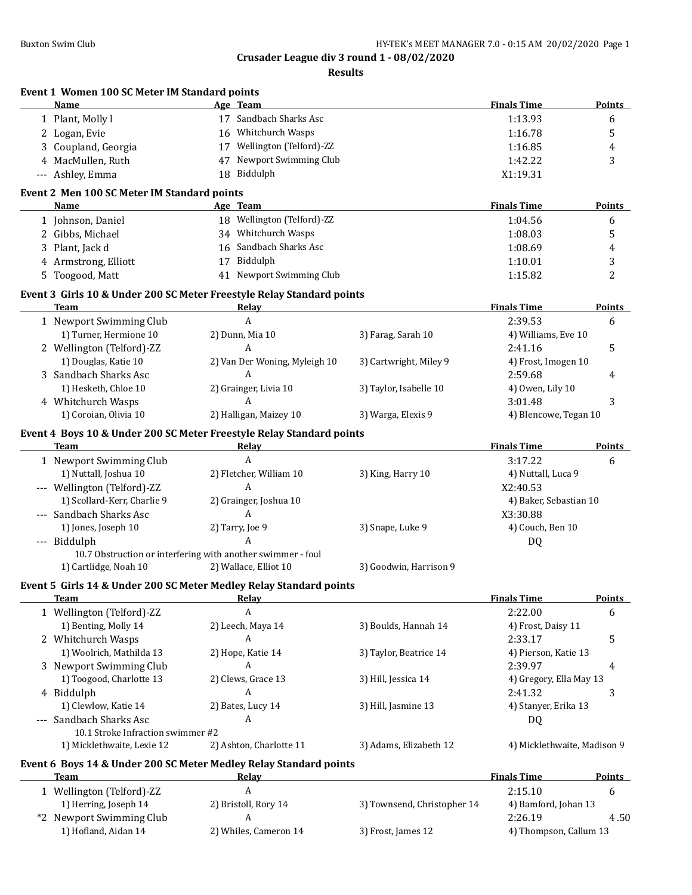**Results**

| Event 1 Women 100 SC Meter IM Standard points<br>Name                 | Age Team                                                    |                             | <b>Finals Time</b>          | <b>Points</b> |
|-----------------------------------------------------------------------|-------------------------------------------------------------|-----------------------------|-----------------------------|---------------|
|                                                                       | 17 Sandbach Sharks Asc                                      |                             |                             |               |
| 1 Plant, Molly l                                                      | 16 Whitchurch Wasps                                         |                             | 1:13.93                     | 6             |
| 2 Logan, Evie                                                         |                                                             |                             | 1:16.78                     | 5             |
| 3 Coupland, Georgia                                                   | 17 Wellington (Telford)-ZZ<br>47 Newport Swimming Club      |                             | 1:16.85                     | 4             |
| 4 MacMullen, Ruth                                                     |                                                             |                             | 1:42.22                     | 3             |
| --- Ashley, Emma                                                      | 18 Biddulph                                                 |                             | X1:19.31                    |               |
| Event 2 Men 100 SC Meter IM Standard points                           |                                                             |                             |                             |               |
| Name                                                                  | Age Team                                                    |                             | <b>Finals Time</b>          | Points        |
| 1 Johnson, Daniel                                                     | 18 Wellington (Telford)-ZZ                                  |                             | 1:04.56                     | 6             |
| 2 Gibbs, Michael                                                      | 34 Whitchurch Wasps                                         |                             | 1:08.03                     | 5             |
| 3 Plant, Jack d                                                       | 16 Sandbach Sharks Asc                                      |                             | 1:08.69                     | 4             |
| 4 Armstrong, Elliott                                                  | 17 Biddulph                                                 |                             | 1:10.01                     | 3             |
| 5 Toogood, Matt                                                       | 41 Newport Swimming Club                                    |                             | 1:15.82                     | 2             |
| Event 3 Girls 10 & Under 200 SC Meter Freestyle Relay Standard points |                                                             |                             |                             |               |
| Team                                                                  | Relay                                                       |                             | <b>Finals Time</b>          | <b>Points</b> |
| 1 Newport Swimming Club                                               | $\mathbf{A}$                                                |                             | 2:39.53                     | 6             |
| 1) Turner, Hermione 10                                                | 2) Dunn, Mia 10                                             | 3) Farag, Sarah 10          | 4) Williams, Eve 10         |               |
| 2 Wellington (Telford)-ZZ                                             | A                                                           |                             | 2:41.16                     | 5             |
| 1) Douglas, Katie 10                                                  | 2) Van Der Woning, Myleigh 10                               | 3) Cartwright, Miley 9      | 4) Frost, Imogen 10         |               |
| 3 Sandbach Sharks Asc                                                 | A                                                           |                             | 2:59.68                     | 4             |
| 1) Hesketh, Chloe 10                                                  | 2) Grainger, Livia 10                                       | 3) Taylor, Isabelle 10      | 4) Owen, Lily 10            |               |
| 4 Whitchurch Wasps                                                    | A                                                           |                             | 3:01.48                     | 3             |
| 1) Coroian, Olivia 10                                                 | 2) Halligan, Maizey 10                                      | 3) Warga, Elexis 9          | 4) Blencowe, Tegan 10       |               |
| Event 4 Boys 10 & Under 200 SC Meter Freestyle Relay Standard points  |                                                             |                             |                             |               |
| Team                                                                  | <b>Relay</b>                                                |                             | <b>Finals Time</b>          | <b>Points</b> |
| 1 Newport Swimming Club                                               | $\overline{A}$                                              |                             | 3:17.22                     | 6             |
| 1) Nuttall, Joshua 10                                                 | 2) Fletcher, William 10                                     | 3) King, Harry 10           | 4) Nuttall, Luca 9          |               |
| --- Wellington (Telford)-ZZ                                           | A                                                           |                             | X2:40.53                    |               |
| 1) Scollard-Kerr, Charlie 9                                           | 2) Grainger, Joshua 10                                      |                             | 4) Baker, Sebastian 10      |               |
| --- Sandbach Sharks Asc                                               | A                                                           |                             | X3:30.88                    |               |
| 1) Jones, Joseph 10                                                   | 2) Tarry, Joe 9                                             | 3) Snape, Luke 9            | 4) Couch, Ben 10            |               |
| --- Biddulph                                                          | A                                                           |                             | DQ                          |               |
|                                                                       | 10.7 Obstruction or interfering with another swimmer - foul |                             |                             |               |
| 1) Cartlidge, Noah 10                                                 | 2) Wallace, Elliot 10                                       | 3) Goodwin, Harrison 9      |                             |               |
| Event 5 Girls 14 & Under 200 SC Meter Medley Relay Standard points    |                                                             |                             |                             |               |
| Team                                                                  | <b>Relay</b>                                                |                             | <b>Finals Time</b>          | <b>Points</b> |
| 1 Wellington (Telford)-ZZ                                             | A                                                           |                             | 2:22.00                     | 6             |
| 1) Benting, Molly 14                                                  | 2) Leech, Maya 14                                           | 3) Boulds, Hannah 14        | 4) Frost, Daisy 11          |               |
| 2 Whitchurch Wasps                                                    | A                                                           |                             | 2:33.17                     | 5             |
| 1) Woolrich, Mathilda 13                                              | 2) Hope, Katie 14                                           | 3) Taylor, Beatrice 14      | 4) Pierson, Katie 13        |               |
| 3 Newport Swimming Club                                               | A                                                           |                             | 2:39.97                     | 4             |
| 1) Toogood, Charlotte 13                                              | 2) Clews, Grace 13                                          | 3) Hill, Jessica 14         | 4) Gregory, Ella May 13     |               |
| 4 Biddulph                                                            | A                                                           |                             | 2:41.32                     | 3             |
| 1) Clewlow, Katie 14                                                  | 2) Bates, Lucy 14                                           | 3) Hill, Jasmine 13         | 4) Stanyer, Erika 13        |               |
| Sandbach Sharks Asc<br>$\qquad \qquad - -$                            | A                                                           |                             | DQ                          |               |
| 10.1 Stroke Infraction swimmer #2                                     |                                                             |                             |                             |               |
| 1) Micklethwaite, Lexie 12                                            | 2) Ashton, Charlotte 11                                     | 3) Adams, Elizabeth 12      | 4) Micklethwaite, Madison 9 |               |
| Event 6 Boys 14 & Under 200 SC Meter Medley Relay Standard points     |                                                             |                             |                             |               |
| Team                                                                  | <b>Relay</b>                                                |                             | <b>Finals Time</b>          | <b>Points</b> |
| 1 Wellington (Telford)-ZZ                                             | A                                                           |                             | 2:15.10                     | 6             |
| 1) Herring, Joseph 14                                                 | 2) Bristoll, Rory 14                                        | 3) Townsend, Christopher 14 | 4) Bamford, Johan 13        |               |
| *2 Newport Swimming Club                                              | A                                                           |                             | 2:26.19                     | 4.50          |
| 1) Hofland, Aidan 14                                                  | 2) Whiles, Cameron 14                                       | 3) Frost, James 12          | 4) Thompson, Callum 13      |               |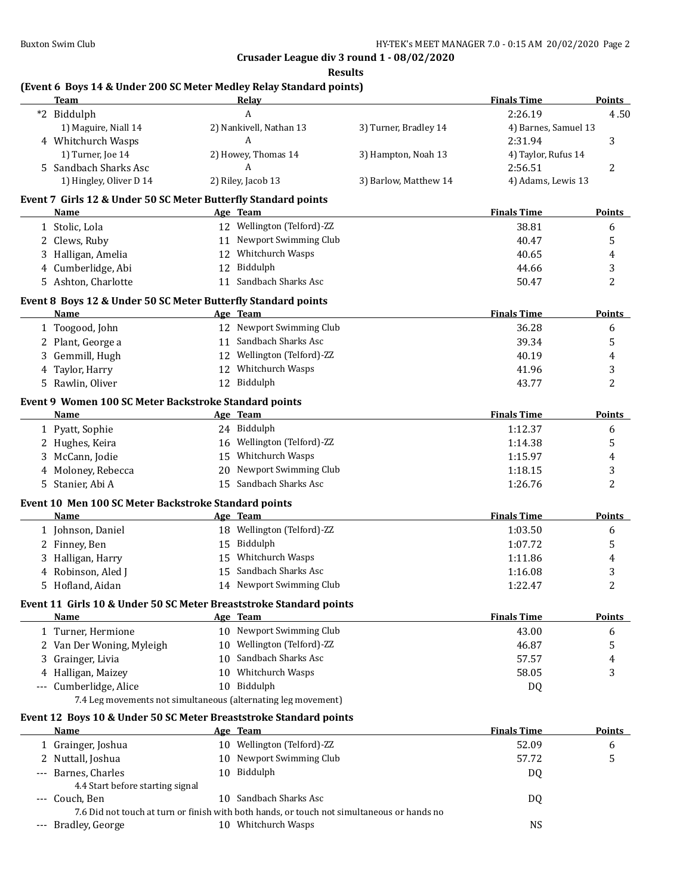**Results**

# **(Event 6 Boys 14 & Under 200 SC Meter Medley Relay Standard points)**

|   | <b>Team</b>                                                        |    | Relay                                                                                      |                       | <b>Finals Time</b>   | <b>Points</b>  |
|---|--------------------------------------------------------------------|----|--------------------------------------------------------------------------------------------|-----------------------|----------------------|----------------|
|   | *2 Biddulph                                                        |    | A                                                                                          |                       | 2:26.19              | 4.50           |
|   | 1) Maguire, Niall 14                                               |    | 2) Nankivell, Nathan 13                                                                    | 3) Turner, Bradley 14 | 4) Barnes, Samuel 13 |                |
|   | 4 Whitchurch Wasps                                                 |    | А                                                                                          |                       | 2:31.94              | 3              |
|   | 1) Turner, Joe 14                                                  |    | 2) Howey, Thomas 14                                                                        | 3) Hampton, Noah 13   | 4) Taylor, Rufus 14  |                |
|   | 5 Sandbach Sharks Asc                                              |    | A                                                                                          |                       | 2:56.51              | 2              |
|   | 1) Hingley, Oliver D 14                                            |    | 2) Riley, Jacob 13                                                                         | 3) Barlow, Matthew 14 | 4) Adams, Lewis 13   |                |
|   | Event 7 Girls 12 & Under 50 SC Meter Butterfly Standard points     |    |                                                                                            |                       |                      |                |
|   | <b>Name</b>                                                        |    | Age Team                                                                                   |                       | <b>Finals Time</b>   | <b>Points</b>  |
|   | 1 Stolic, Lola                                                     |    | 12 Wellington (Telford)-ZZ                                                                 |                       | 38.81                | 6              |
|   | 2 Clews, Ruby                                                      |    | 11 Newport Swimming Club                                                                   |                       | 40.47                | 5              |
| 3 | Halligan, Amelia                                                   |    | 12 Whitchurch Wasps                                                                        |                       | 40.65                | 4              |
|   | 4 Cumberlidge, Abi                                                 |    | 12 Biddulph                                                                                |                       | 44.66                | 3              |
|   | 5 Ashton, Charlotte                                                | 11 | Sandbach Sharks Asc                                                                        |                       | 50.47                | 2              |
|   | Event 8 Boys 12 & Under 50 SC Meter Butterfly Standard points      |    |                                                                                            |                       |                      |                |
|   | <b>Name</b>                                                        |    | Age Team                                                                                   |                       | <b>Finals Time</b>   | <b>Points</b>  |
|   | 1 Toogood, John                                                    |    | 12 Newport Swimming Club                                                                   |                       | 36.28                | 6              |
|   | 2 Plant, George a                                                  |    | 11 Sandbach Sharks Asc                                                                     |                       | 39.34                | 5              |
| 3 | Gemmill, Hugh                                                      |    | 12 Wellington (Telford)-ZZ                                                                 |                       | 40.19                | 4              |
| 4 | Taylor, Harry                                                      |    | 12 Whitchurch Wasps                                                                        |                       | 41.96                | 3              |
|   | 5 Rawlin, Oliver                                                   |    | 12 Biddulph                                                                                |                       | 43.77                | 2              |
|   | Event 9 Women 100 SC Meter Backstroke Standard points              |    |                                                                                            |                       |                      |                |
|   | Name                                                               |    | Age Team                                                                                   |                       | <b>Finals Time</b>   | <b>Points</b>  |
|   | 1 Pyatt, Sophie                                                    |    | 24 Biddulph                                                                                |                       | 1:12.37              | 6              |
|   | 2 Hughes, Keira                                                    |    | 16 Wellington (Telford)-ZZ                                                                 |                       | 1:14.38              | 5              |
|   | 3 McCann, Jodie                                                    |    | 15 Whitchurch Wasps                                                                        |                       | 1:15.97              | 4              |
|   | 4 Moloney, Rebecca                                                 |    | 20 Newport Swimming Club                                                                   |                       | 1:18.15              | 3              |
|   | 5 Stanier, Abi A                                                   |    | 15 Sandbach Sharks Asc                                                                     |                       | 1:26.76              | 2              |
|   | Event 10 Men 100 SC Meter Backstroke Standard points               |    |                                                                                            |                       |                      |                |
|   | Name                                                               |    | Age Team                                                                                   |                       | <b>Finals Time</b>   | <b>Points</b>  |
|   | 1 Johnson, Daniel                                                  |    | 18 Wellington (Telford)-ZZ                                                                 |                       | 1:03.50              | 6              |
|   | 2 Finney, Ben                                                      |    | 15 Biddulph                                                                                |                       | 1:07.72              | 5              |
|   | Halligan, Harry                                                    | 15 | Whitchurch Wasps                                                                           |                       | 1:11.86              | 4              |
|   | 4 Robinson, Aled J                                                 | 15 | Sandbach Sharks Asc                                                                        |                       | 1:16.08              | 3              |
|   | 5 Hofland, Aidan                                                   |    | 14 Newport Swimming Club                                                                   |                       | 1:22.47              | $\overline{c}$ |
|   |                                                                    |    |                                                                                            |                       |                      |                |
|   | Event 11 Girls 10 & Under 50 SC Meter Breaststroke Standard points |    |                                                                                            |                       |                      |                |
|   | Name                                                               |    | Age Team                                                                                   |                       | <b>Finals Time</b>   | Points         |
|   | 1 Turner, Hermione                                                 |    | 10 Newport Swimming Club                                                                   |                       | 43.00                | 6              |
|   | 2 Van Der Woning, Myleigh                                          |    | 10 Wellington (Telford)-ZZ                                                                 |                       | 46.87                | 5              |
| 3 | Grainger, Livia                                                    | 10 | Sandbach Sharks Asc                                                                        |                       | 57.57                | 4              |
|   | 4 Halligan, Maizey                                                 | 10 | Whitchurch Wasps                                                                           |                       | 58.05                | 3              |
|   | --- Cumberlidge, Alice                                             |    | 10 Biddulph                                                                                |                       | DQ                   |                |
|   | 7.4 Leg movements not simultaneous (alternating leg movement)      |    |                                                                                            |                       |                      |                |
|   | Event 12 Boys 10 & Under 50 SC Meter Breaststroke Standard points  |    |                                                                                            |                       |                      |                |
|   | Name                                                               |    | Age Team                                                                                   |                       | <b>Finals Time</b>   | <b>Points</b>  |
|   | 1 Grainger, Joshua                                                 |    | 10 Wellington (Telford)-ZZ                                                                 |                       | 52.09                | 6              |
|   | 2 Nuttall, Joshua                                                  |    | 10 Newport Swimming Club                                                                   |                       | 57.72                | 5              |
|   | --- Barnes, Charles                                                |    | 10 Biddulph                                                                                |                       | DQ                   |                |
|   | 4.4 Start before starting signal                                   |    |                                                                                            |                       |                      |                |
|   | --- Couch, Ben                                                     |    | 10 Sandbach Sharks Asc                                                                     |                       | DQ                   |                |
|   |                                                                    |    | 7.6 Did not touch at turn or finish with both hands, or touch not simultaneous or hands no |                       |                      |                |
|   | --- Bradley, George                                                |    | 10 Whitchurch Wasps                                                                        |                       | <b>NS</b>            |                |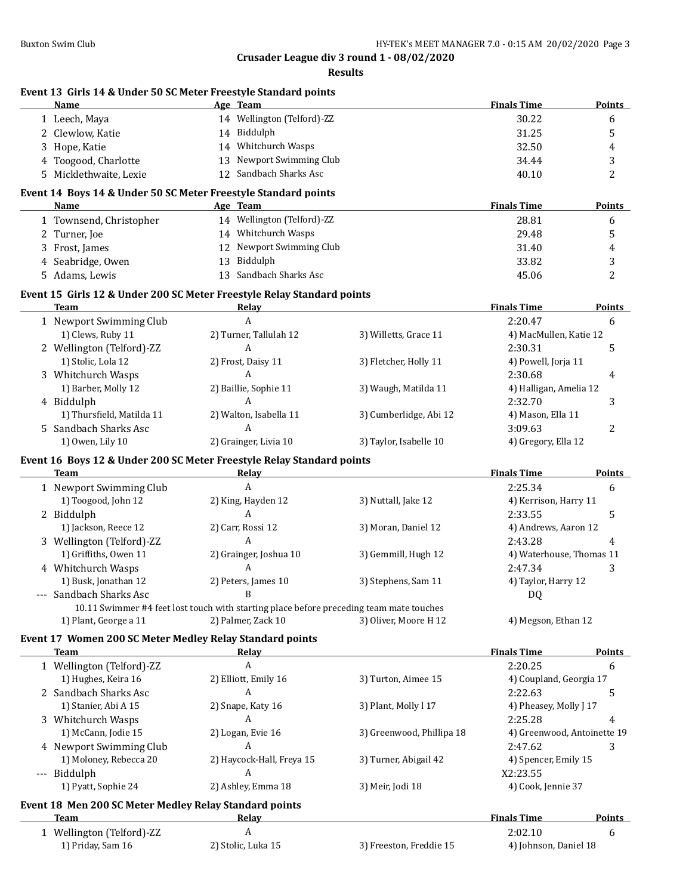#### **Results**

#### **Event 13 Girls 14 & Under 50 SC Meter Freestyle Standard points**

| <b>Name</b>            | Age | <b>Team</b>              | <b>Finals Time</b> | <b>Points</b> |
|------------------------|-----|--------------------------|--------------------|---------------|
| 1 Leech, Maya          | 14  | Wellington (Telford)-ZZ  | 30.22              |               |
| 2 Clewlow, Katie       | 14  | Biddulph                 | 31.25              |               |
| 3 Hope, Katie          |     | 14 Whitchurch Wasps      | 32.50              |               |
| 4 Toogood, Charlotte   |     | 13 Newport Swimming Club | 34.44              |               |
| 5 Micklethwaite, Lexie |     | 12 Sandbach Sharks Asc   | 40.10              |               |
|                        |     |                          |                    |               |

### **Event 14 Boys 14 & Under 50 SC Meter Freestyle Standard points**

| Name                    | Age Team                      | <b>Finals Time</b> | <b>Points</b> |
|-------------------------|-------------------------------|--------------------|---------------|
| 1 Townsend, Christopher | Wellington (Telford)-ZZ<br>14 | 28.81              |               |
| 2 Turner, Joe           | Whitchurch Wasps<br>14        | 29.48              |               |
| 3 Frost, James          | 12 Newport Swimming Club      | 31.40              | 4             |
| 4 Seabridge, Owen       | Biddulph<br>13.               | 33.82              |               |
| 5 Adams, Lewis          | 13 Sandbach Sharks Asc        | 45.06              |               |

#### **Event 15 Girls 12 & Under 200 SC Meter Freestyle Relay Standard points**

| Team                      | Relay                  |                        | <b>Finals Time</b>     | <b>Points</b> |
|---------------------------|------------------------|------------------------|------------------------|---------------|
| 1 Newport Swimming Club   | A                      |                        | 2:20.47                | b             |
| 1) Clews, Ruby 11         | 2) Turner, Tallulah 12 | 3) Willetts, Grace 11  | 4) MacMullen, Katie 12 |               |
| 2 Wellington (Telford)-ZZ | A                      |                        | 2:30.31                |               |
| 1) Stolic, Lola 12        | 2) Frost, Daisy 11     | 3) Fletcher, Holly 11  | 4) Powell, Jorja 11    |               |
| 3 Whitchurch Wasps        |                        |                        | 2:30.68                | 4             |
| 1) Barber, Molly 12       | 2) Baillie, Sophie 11  | 3) Waugh, Matilda 11   | 4) Halligan, Amelia 12 |               |
| 4 Biddulph                |                        |                        | 2:32.70                |               |
| 1) Thursfield, Matilda 11 | 2) Walton, Isabella 11 | 3) Cumberlidge, Abi 12 | 4) Mason, Ella 11      |               |
| 5 Sandbach Sharks Asc     | A                      |                        | 3:09.63                |               |
| 1) Owen, Lily 10          | 2) Grainger, Livia 10  | 3) Taylor, Isabelle 10 | 4) Gregory, Ella 12    |               |

#### **Event 16 Boys 12 & Under 200 SC Meter Freestyle Relay Standard points**

| Team                      | Relav                                                                                   |                       | <b>Finals Time</b>       | <b>Points</b> |
|---------------------------|-----------------------------------------------------------------------------------------|-----------------------|--------------------------|---------------|
| 1 Newport Swimming Club   | A                                                                                       |                       | 2:25.34                  | 6             |
| 1) Toogood, John 12       | 2) King, Hayden 12                                                                      | 3) Nuttall, Jake 12   | 4) Kerrison, Harry 11    |               |
| 2 Biddulph                | A                                                                                       |                       | 2:33.55                  |               |
| 1) Jackson, Reece 12      | 2) Carr, Rossi 12                                                                       | 3) Moran, Daniel 12   | 4) Andrews, Aaron 12     |               |
| 3 Wellington (Telford)-ZZ | A                                                                                       |                       | 2:43.28                  |               |
| 1) Griffiths, Owen 11     | 2) Grainger, Joshua 10                                                                  | 3) Gemmill, Hugh 12   | 4) Waterhouse, Thomas 11 |               |
| 4 Whitchurch Wasps        | A                                                                                       |                       | 2:47.34                  |               |
| 1) Busk, Jonathan 12      | 2) Peters, James 10                                                                     | 3) Stephens, Sam 11   | 4) Taylor, Harry 12      |               |
| --- Sandbach Sharks Asc   |                                                                                         |                       | DQ                       |               |
|                           | 10.11 Swimmer #4 feet lost touch with starting place before preceding team mate touches |                       |                          |               |
| 1) Plant, George a 11     | 2) Palmer, Zack 10                                                                      | 3) Oliver, Moore H 12 | 4) Megson, Ethan 12      |               |

#### **Event 17 Women 200 SC Meter Medley Relay Standard points**

| Team                                                   | Relay                     |                           | <b>Finals Time</b>          | <b>Points</b> |
|--------------------------------------------------------|---------------------------|---------------------------|-----------------------------|---------------|
| 1 Wellington (Telford)-ZZ                              | A                         |                           | 2:20.25                     | 6             |
| 1) Hughes, Keira 16                                    | 2) Elliott, Emily 16      | 3) Turton, Aimee 15       | 4) Coupland, Georgia 17     |               |
| 2 Sandbach Sharks Asc                                  | A                         |                           | 2:22.63                     | 5             |
| 1) Stanier, Abi A 15                                   | 2) Snape, Katy 16         | 3) Plant, Molly 117       | 4) Pheasey, Molly J 17      |               |
| 3 Whitchurch Wasps                                     | A                         |                           | 2:25.28                     |               |
| 1) McCann, Jodie 15                                    | 2) Logan, Evie 16         | 3) Greenwood, Phillipa 18 | 4) Greenwood, Antoinette 19 |               |
| 4 Newport Swimming Club                                | A                         |                           | 2:47.62                     | 3             |
| 1) Moloney, Rebecca 20                                 | 2) Haycock-Hall, Freya 15 | 3) Turner, Abigail 42     | 4) Spencer, Emily 15        |               |
| --- Biddulph                                           | A                         |                           | X2:23.55                    |               |
| 1) Pyatt, Sophie 24                                    | 2) Ashley, Emma 18        | 3) Meir, Jodi 18          | 4) Cook, Jennie 37          |               |
| Event 18 Men 200 SC Meter Medley Relay Standard points |                           |                           |                             |               |
| Team                                                   | Relay                     |                           | <b>Finals Time</b>          | <b>Points</b> |
| 1 Wellington (Telford)-ZZ                              | A                         |                           | 2:02.10                     | 6             |
| 1) Priday, Sam 16                                      | 2) Stolic, Luka 15        | 3) Freeston, Freddie 15   | 4) Johnson, Daniel 18       |               |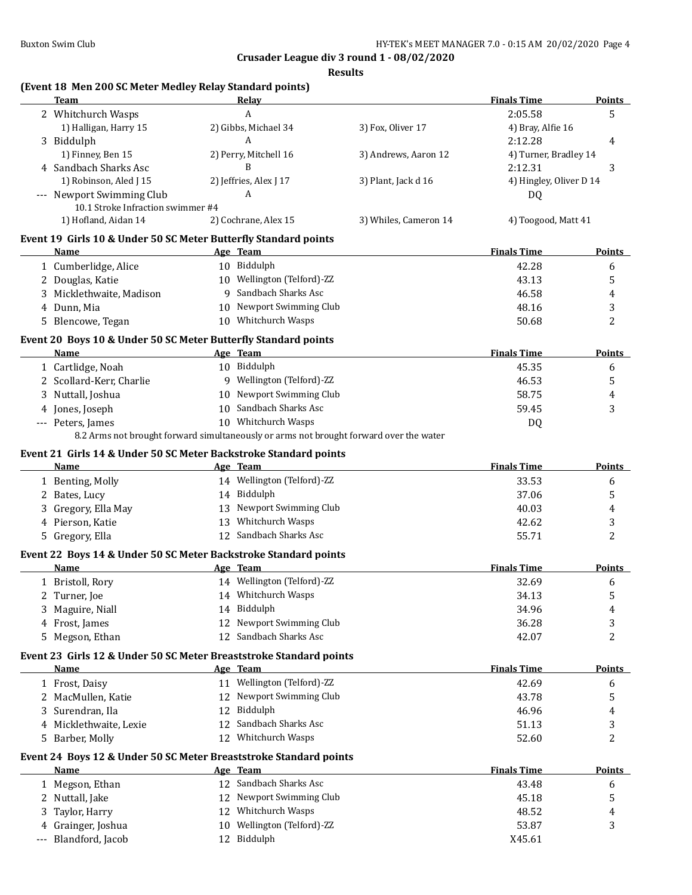**Results**

# **(Event 18 Men 200 SC Meter Medley Relay Standard points)**

|    | <b>Team</b>                                                                     |             | Relay                      |                                                                                        | <b>Finals Time</b>      | <b>Points</b>      |
|----|---------------------------------------------------------------------------------|-------------|----------------------------|----------------------------------------------------------------------------------------|-------------------------|--------------------|
|    | 2 Whitchurch Wasps                                                              |             | A                          |                                                                                        | 2:05.58                 | 5                  |
|    | 1) Halligan, Harry 15                                                           |             | 2) Gibbs, Michael 34       | 3) Fox, Oliver 17                                                                      | 4) Bray, Alfie 16       |                    |
|    | 3 Biddulph                                                                      |             | A                          |                                                                                        | 2:12.28                 | 4                  |
|    | 1) Finney, Ben 15                                                               |             | 2) Perry, Mitchell 16      | 3) Andrews, Aaron 12                                                                   | 4) Turner, Bradley 14   |                    |
|    | 4 Sandbach Sharks Asc                                                           |             | B                          |                                                                                        | 2:12.31                 | 3                  |
|    | 1) Robinson, Aled J 15                                                          |             | 2) Jeffries, Alex J 17     | 3) Plant, Jack d 16                                                                    | 4) Hingley, Oliver D 14 |                    |
|    | --- Newport Swimming Club                                                       |             | A                          |                                                                                        | DQ                      |                    |
|    | 10.1 Stroke Infraction swimmer #4                                               |             |                            |                                                                                        |                         |                    |
|    | 1) Hofland, Aidan 14                                                            |             | 2) Cochrane, Alex 15       | 3) Whiles, Cameron 14                                                                  | 4) Toogood, Matt 41     |                    |
|    | Event 19 Girls 10 & Under 50 SC Meter Butterfly Standard points                 |             |                            |                                                                                        |                         |                    |
|    | Name                                                                            | Age Team    |                            |                                                                                        | <b>Finals Time</b>      | Points             |
|    | 1 Cumberlidge, Alice                                                            | 10 Biddulph |                            |                                                                                        | 42.28                   | 6                  |
|    | 2 Douglas, Katie                                                                |             | 10 Wellington (Telford)-ZZ |                                                                                        | 43.13                   | 5                  |
|    | 3 Micklethwaite, Madison                                                        |             | 9 Sandbach Sharks Asc      |                                                                                        | 46.58                   | 4                  |
|    | 4 Dunn, Mia                                                                     |             | 10 Newport Swimming Club   |                                                                                        | 48.16                   | 3                  |
|    | 5 Blencowe, Tegan                                                               |             | 10 Whitchurch Wasps        |                                                                                        | 50.68                   | 2                  |
|    | Event 20 Boys 10 & Under 50 SC Meter Butterfly Standard points                  |             |                            |                                                                                        |                         |                    |
|    | Name                                                                            | Age Team    |                            |                                                                                        | <b>Finals Time</b>      | <b>Points</b>      |
|    | 1 Cartlidge, Noah                                                               | 10 Biddulph |                            |                                                                                        | 45.35                   | 6                  |
|    | 2 Scollard-Kerr, Charlie                                                        |             | 9 Wellington (Telford)-ZZ  |                                                                                        | 46.53                   | 5                  |
|    | 3 Nuttall, Joshua                                                               |             | 10 Newport Swimming Club   |                                                                                        | 58.75                   | 4                  |
|    | 4 Jones, Joseph                                                                 |             | 10 Sandbach Sharks Asc     |                                                                                        | 59.45                   | 3                  |
|    | --- Peters, James                                                               |             | 10 Whitchurch Wasps        |                                                                                        | DQ                      |                    |
|    |                                                                                 |             |                            | 8.2 Arms not brought forward simultaneously or arms not brought forward over the water |                         |                    |
|    |                                                                                 |             |                            |                                                                                        |                         |                    |
|    | Event 21 Girls 14 & Under 50 SC Meter Backstroke Standard points<br><b>Name</b> | Age Team    |                            |                                                                                        | <b>Finals Time</b>      | <b>Points</b>      |
|    | 1 Benting, Molly                                                                |             | 14 Wellington (Telford)-ZZ |                                                                                        | 33.53                   | 6                  |
|    |                                                                                 | 14 Biddulph |                            |                                                                                        |                         |                    |
|    | 2 Bates, Lucy                                                                   |             | 13 Newport Swimming Club   |                                                                                        | 37.06                   | 5                  |
|    | 3 Gregory, Ella May                                                             |             |                            |                                                                                        | 40.03                   | 4                  |
|    | 4 Pierson, Katie                                                                |             | 13 Whitchurch Wasps        |                                                                                        | 42.62                   | 3                  |
|    | 5 Gregory, Ella                                                                 |             | 12 Sandbach Sharks Asc     |                                                                                        | 55.71                   | $\overline{2}$     |
|    | Event 22 Boys 14 & Under 50 SC Meter Backstroke Standard points                 |             |                            |                                                                                        |                         |                    |
|    | Name                                                                            | Age Team    |                            |                                                                                        | <b>Finals Time</b>      | <b>Points</b>      |
|    | 1 Bristoll, Rory                                                                |             | 14 Wellington (Telford)-ZZ |                                                                                        | 32.69                   | 6                  |
|    | 2 Turner, Joe                                                                   |             | 14 Whitchurch Wasps        |                                                                                        | 34.13                   | 5                  |
|    | 3 Maguire, Niall                                                                | 14 Biddulph |                            |                                                                                        | 34.96                   | 4                  |
|    |                                                                                 |             |                            |                                                                                        |                         | 3                  |
|    | 4 Frost, James                                                                  | 12          | Newport Swimming Club      |                                                                                        | 36.28                   |                    |
|    | 5 Megson, Ethan                                                                 |             | 12 Sandbach Sharks Asc     |                                                                                        | 42.07                   | 2                  |
|    | Event 23 Girls 12 & Under 50 SC Meter Breaststroke Standard points              |             |                            |                                                                                        |                         |                    |
|    | Name                                                                            | Age Team    |                            |                                                                                        | <b>Finals Time</b>      | <b>Points</b>      |
|    | 1 Frost, Daisy                                                                  |             | 11 Wellington (Telford)-ZZ |                                                                                        | 42.69                   | 6                  |
|    | 2 MacMullen, Katie                                                              |             | 12 Newport Swimming Club   |                                                                                        | 43.78                   | 5                  |
| 3  | Surendran, Ila                                                                  | 12 Biddulph |                            |                                                                                        | 46.96                   | 4                  |
|    | 4 Micklethwaite, Lexie                                                          |             | 12 Sandbach Sharks Asc     |                                                                                        |                         | 3                  |
| 5. |                                                                                 |             | 12 Whitchurch Wasps        |                                                                                        | 51.13                   | $\overline{2}$     |
|    | Barber, Molly                                                                   |             |                            |                                                                                        | 52.60                   |                    |
|    | Event 24 Boys 12 & Under 50 SC Meter Breaststroke Standard points               |             |                            |                                                                                        |                         |                    |
|    | Name                                                                            | Age Team    |                            |                                                                                        | <b>Finals Time</b>      |                    |
|    | 1 Megson, Ethan                                                                 |             | 12 Sandbach Sharks Asc     |                                                                                        | 43.48                   | 6                  |
|    | 2 Nuttall, Jake                                                                 |             | 12 Newport Swimming Club   |                                                                                        | 45.18                   | <b>Points</b><br>5 |
| 3  | Taylor, Harry                                                                   |             | 12 Whitchurch Wasps        |                                                                                        | 48.52                   | 4                  |
| 4  | Grainger, Joshua<br>Blandford, Jacob                                            | 12 Biddulph | 10 Wellington (Telford)-ZZ |                                                                                        | 53.87<br>X45.61         | 3                  |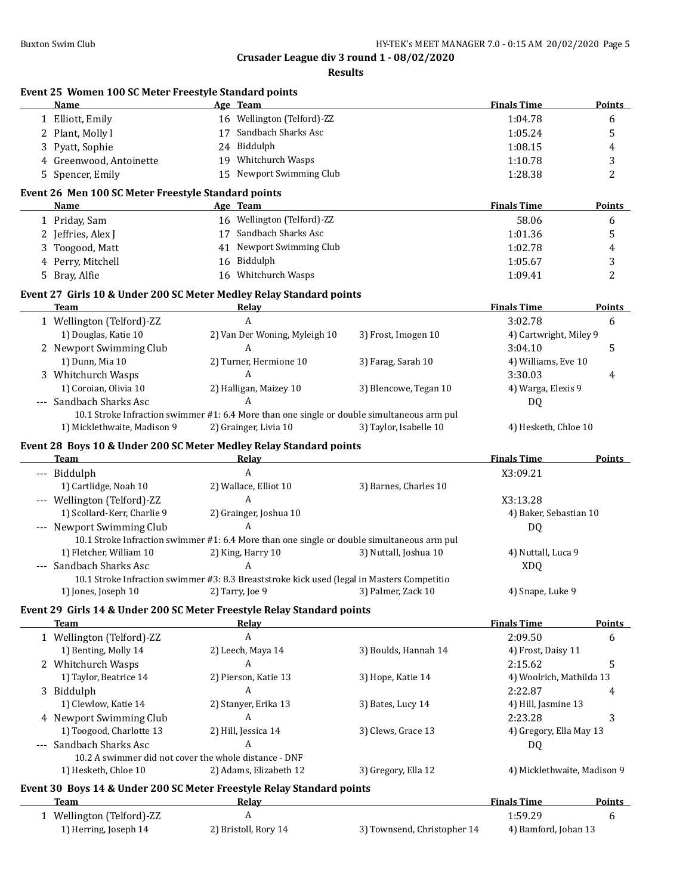**Results**

|   | Event 25 Women 100 SC Meter Freestyle Standard points<br>Name                              |    | Age Team                      |                             | <b>Finals Time</b>          | Points        |
|---|--------------------------------------------------------------------------------------------|----|-------------------------------|-----------------------------|-----------------------------|---------------|
|   | 1 Elliott, Emily                                                                           |    | 16 Wellington (Telford)-ZZ    |                             | 1:04.78                     | 6             |
|   | 2 Plant, Molly l                                                                           |    | 17 Sandbach Sharks Asc        |                             | 1:05.24                     | 5             |
|   | 3 Pyatt, Sophie                                                                            |    | 24 Biddulph                   |                             | 1:08.15                     | 4             |
|   | 4 Greenwood, Antoinette                                                                    |    | 19 Whitchurch Wasps           |                             | 1:10.78                     | 3             |
|   | 5 Spencer, Emily                                                                           |    | 15 Newport Swimming Club      |                             | 1:28.38                     | 2             |
|   | Event 26 Men 100 SC Meter Freestyle Standard points                                        |    |                               |                             |                             |               |
|   | Name                                                                                       |    | Age Team                      |                             | <b>Finals Time</b>          | Points        |
|   | 1 Priday, Sam                                                                              |    | 16 Wellington (Telford)-ZZ    |                             | 58.06                       | 6             |
|   | 2 Jeffries, Alex J                                                                         |    | 17 Sandbach Sharks Asc        |                             | 1:01.36                     | 5             |
| 3 | Toogood, Matt                                                                              |    | 41 Newport Swimming Club      |                             | 1:02.78                     | 4             |
| 4 | Perry, Mitchell                                                                            |    | 16 Biddulph                   |                             | 1:05.67                     | 3             |
|   | 5 Bray, Alfie                                                                              | 16 | Whitchurch Wasps              |                             | 1:09.41                     | 2             |
|   | Event 27 Girls 10 & Under 200 SC Meter Medley Relay Standard points                        |    |                               |                             |                             |               |
|   | Team                                                                                       |    | Relay                         |                             | <b>Finals Time</b>          | <b>Points</b> |
|   | 1 Wellington (Telford)-ZZ                                                                  |    | A                             |                             | 3:02.78                     | 6             |
|   | 1) Douglas, Katie 10                                                                       |    | 2) Van Der Woning, Myleigh 10 | 3) Frost, Imogen 10         | 4) Cartwright, Miley 9      |               |
|   | 2 Newport Swimming Club                                                                    |    | A                             |                             | 3:04.10                     | 5             |
|   | 1) Dunn, Mia 10                                                                            |    | 2) Turner, Hermione 10        | 3) Farag, Sarah 10          | 4) Williams, Eve 10         |               |
|   | 3 Whitchurch Wasps                                                                         |    | A                             |                             | 3:30.03                     | 4             |
|   | 1) Coroian, Olivia 10                                                                      |    | 2) Halligan, Maizey 10        | 3) Blencowe, Tegan 10       | 4) Warga, Elexis 9          |               |
|   | --- Sandbach Sharks Asc                                                                    |    | A                             |                             | DQ                          |               |
|   | 10.1 Stroke Infraction swimmer #1: 6.4 More than one single or double simultaneous arm pul |    |                               |                             |                             |               |
|   | 1) Micklethwaite, Madison 9                                                                |    | 2) Grainger, Livia 10         | 3) Taylor, Isabelle 10      | 4) Hesketh, Chloe 10        |               |
|   | Event 28 Boys 10 & Under 200 SC Meter Medley Relay Standard points                         |    |                               |                             |                             |               |
|   | Team                                                                                       |    | Relay                         |                             | <b>Finals Time</b>          | <b>Points</b> |
|   | --- Biddulph                                                                               |    | A                             |                             | X3:09.21                    |               |
|   | 1) Cartlidge, Noah 10                                                                      |    | 2) Wallace, Elliot 10         | 3) Barnes, Charles 10       |                             |               |
|   | --- Wellington (Telford)-ZZ                                                                |    | A                             |                             | X3:13.28                    |               |
|   | 1) Scollard-Kerr, Charlie 9                                                                |    | 2) Grainger, Joshua 10        |                             | 4) Baker, Sebastian 10      |               |
|   | --- Newport Swimming Club                                                                  |    | A                             |                             | DQ                          |               |
|   | 10.1 Stroke Infraction swimmer #1: 6.4 More than one single or double simultaneous arm pul |    |                               |                             |                             |               |
|   | 1) Fletcher, William 10                                                                    |    | 2) King, Harry 10             | 3) Nuttall, Joshua 10       | 4) Nuttall, Luca 9          |               |
|   | --- Sandbach Sharks Asc                                                                    |    | A                             |                             | <b>XDQ</b>                  |               |
|   | 10.1 Stroke Infraction swimmer #3: 8.3 Breaststroke kick used (legal in Masters Competitio |    |                               |                             |                             |               |
|   | 1) Jones, Joseph 10                                                                        |    | 2) Tarry, Joe 9               | 3) Palmer, Zack 10          | 4) Snape, Luke 9            |               |
|   | Event 29 Girls 14 & Under 200 SC Meter Freestyle Relay Standard points                     |    |                               |                             |                             |               |
|   | <b>Team</b>                                                                                |    | Relay                         |                             | <b>Finals Time</b>          | Points        |
|   | 1 Wellington (Telford)-ZZ                                                                  |    | A                             |                             | 2:09.50                     | 6             |
|   | 1) Benting, Molly 14                                                                       |    | 2) Leech, Maya 14             | 3) Boulds, Hannah 14        | 4) Frost, Daisy 11          |               |
|   | 2 Whitchurch Wasps                                                                         |    | A                             |                             | 2:15.62                     | 5             |
|   | 1) Taylor, Beatrice 14                                                                     |    | 2) Pierson, Katie 13          | 3) Hope, Katie 14           | 4) Woolrich, Mathilda 13    |               |
|   | 3 Biddulph                                                                                 |    | A                             |                             | 2:22.87                     | 4             |
|   | 1) Clewlow, Katie 14                                                                       |    | 2) Stanyer, Erika 13          | 3) Bates, Lucy 14           | 4) Hill, Jasmine 13         |               |
|   | 4 Newport Swimming Club                                                                    |    | A                             |                             | 2:23.28                     | 3             |
|   | 1) Toogood, Charlotte 13                                                                   |    | 2) Hill, Jessica 14           | 3) Clews, Grace 13          | 4) Gregory, Ella May 13     |               |
|   | Sandbach Sharks Asc                                                                        |    | A                             |                             | DQ                          |               |
|   | 10.2 A swimmer did not cover the whole distance - DNF                                      |    |                               |                             |                             |               |
|   | 1) Hesketh, Chloe 10                                                                       |    | 2) Adams, Elizabeth 12        | 3) Gregory, Ella 12         | 4) Micklethwaite, Madison 9 |               |
|   | Event 30 Boys 14 & Under 200 SC Meter Freestyle Relay Standard points                      |    |                               |                             |                             |               |
|   | Team                                                                                       |    | <b>Relay</b>                  |                             | <b>Finals Time</b>          | Points        |
|   | 1 Wellington (Telford)-ZZ                                                                  |    | A                             |                             | 1:59.29                     | 6             |
|   | 1) Herring, Joseph 14                                                                      |    | 2) Bristoll, Rory 14          | 3) Townsend, Christopher 14 | 4) Bamford, Johan 13        |               |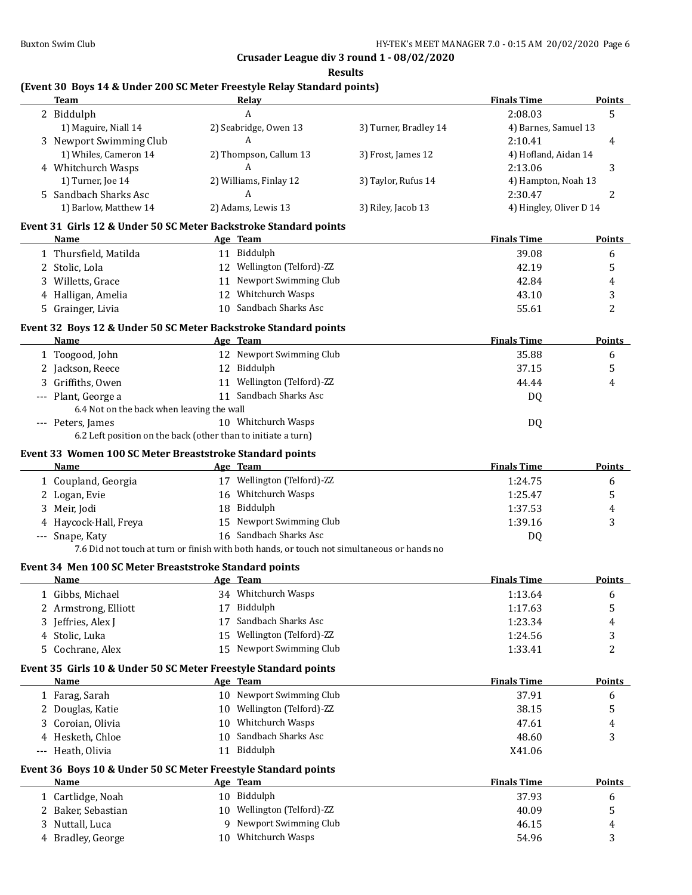**Results**

## **(Event 30 Boys 14 & Under 200 SC Meter Freestyle Relay Standard points)**

|   | <b>Team</b>                                                      | <b>Relay</b>                                                                               |                       | <b>Finals Time</b>      | Points        |
|---|------------------------------------------------------------------|--------------------------------------------------------------------------------------------|-----------------------|-------------------------|---------------|
|   | 2 Biddulph                                                       | A                                                                                          |                       | 2:08.03                 | 5             |
|   | 1) Maguire, Niall 14                                             | 2) Seabridge, Owen 13                                                                      | 3) Turner, Bradley 14 | 4) Barnes, Samuel 13    |               |
|   | 3 Newport Swimming Club                                          | A                                                                                          |                       | 2:10.41                 | 4             |
|   | 1) Whiles, Cameron 14                                            | 2) Thompson, Callum 13                                                                     | 3) Frost, James 12    | 4) Hofland, Aidan 14    |               |
|   | 4 Whitchurch Wasps                                               | A                                                                                          |                       | 2:13.06                 | 3             |
|   | 1) Turner, Joe 14                                                | 2) Williams, Finlay 12                                                                     | 3) Taylor, Rufus 14   | 4) Hampton, Noah 13     |               |
|   | 5 Sandbach Sharks Asc                                            | A                                                                                          |                       | 2:30.47                 | 2             |
|   | 1) Barlow, Matthew 14                                            | 2) Adams, Lewis 13                                                                         | 3) Riley, Jacob 13    | 4) Hingley, Oliver D 14 |               |
|   | Event 31 Girls 12 & Under 50 SC Meter Backstroke Standard points |                                                                                            |                       |                         |               |
|   | Name                                                             | Age Team                                                                                   |                       | <b>Finals Time</b>      | <b>Points</b> |
|   | 1 Thursfield, Matilda                                            | 11 Biddulph                                                                                |                       | 39.08                   | 6             |
|   | 2 Stolic, Lola                                                   | 12 Wellington (Telford)-ZZ                                                                 |                       | 42.19                   | 5             |
|   | 3 Willetts, Grace                                                | 11 Newport Swimming Club                                                                   |                       | 42.84                   | 4             |
|   | 4 Halligan, Amelia                                               | 12 Whitchurch Wasps                                                                        |                       | 43.10                   | 3             |
|   | 5 Grainger, Livia                                                | 10 Sandbach Sharks Asc                                                                     |                       | 55.61                   | 2             |
|   |                                                                  |                                                                                            |                       |                         |               |
|   | Event 32 Boys 12 & Under 50 SC Meter Backstroke Standard points  |                                                                                            |                       |                         |               |
|   | Name                                                             | Age Team                                                                                   |                       | <b>Finals Time</b>      | Points        |
|   | 1 Toogood, John                                                  | 12 Newport Swimming Club                                                                   |                       | 35.88                   | 6             |
|   | 2 Jackson, Reece                                                 | 12 Biddulph                                                                                |                       | 37.15                   | 5             |
|   | 3 Griffiths, Owen                                                | 11 Wellington (Telford)-ZZ                                                                 |                       | 44.44                   | 4             |
|   | --- Plant, George a                                              | 11 Sandbach Sharks Asc                                                                     |                       | DQ                      |               |
|   | 6.4 Not on the back when leaving the wall                        |                                                                                            |                       |                         |               |
|   | --- Peters, James                                                | 10 Whitchurch Wasps                                                                        |                       | DQ                      |               |
|   |                                                                  | 6.2 Left position on the back (other than to initiate a turn)                              |                       |                         |               |
|   | Event 33 Women 100 SC Meter Breaststroke Standard points         |                                                                                            |                       |                         |               |
|   | Name                                                             | Age Team                                                                                   |                       | <b>Finals Time</b>      | <b>Points</b> |
|   | 1 Coupland, Georgia                                              | 17 Wellington (Telford)-ZZ                                                                 |                       | 1:24.75                 | 6             |
|   | 2 Logan, Evie                                                    | 16 Whitchurch Wasps                                                                        |                       | 1:25.47                 | 5             |
|   | 3 Meir, Jodi                                                     | 18 Biddulph                                                                                |                       | 1:37.53                 | 4             |
|   | 4 Haycock-Hall, Freya                                            | 15 Newport Swimming Club                                                                   |                       | 1:39.16                 | 3             |
|   | --- Snape, Katy                                                  | 16 Sandbach Sharks Asc                                                                     |                       | DQ                      |               |
|   |                                                                  | 7.6 Did not touch at turn or finish with both hands, or touch not simultaneous or hands no |                       |                         |               |
|   | Event 34 Men 100 SC Meter Breaststroke Standard points           |                                                                                            |                       |                         |               |
|   | Name                                                             | Age Team                                                                                   |                       | <b>Finals Time</b>      | <b>Points</b> |
|   | 1 Gibbs, Michael                                                 | 34 Whitchurch Wasps                                                                        |                       | 1:13.64                 | 6             |
|   | 2 Armstrong, Elliott                                             | 17 Biddulph                                                                                |                       | 1:17.63                 | 5             |
|   | Jeffries, Alex J                                                 | Sandbach Sharks Asc<br>17                                                                  |                       | 1:23.34                 | 4             |
|   | 4 Stolic, Luka                                                   | Wellington (Telford)-ZZ<br>15                                                              |                       | 1:24.56                 | 3             |
|   | 5 Cochrane, Alex                                                 | 15 Newport Swimming Club                                                                   |                       | 1:33.41                 | 2             |
|   | Event 35 Girls 10 & Under 50 SC Meter Freestyle Standard points  |                                                                                            |                       |                         |               |
|   | <u>Name</u>                                                      | Age Team                                                                                   |                       | <b>Finals Time</b>      | <b>Points</b> |
|   | 1 Farag, Sarah                                                   | 10 Newport Swimming Club                                                                   |                       | 37.91                   | 6             |
|   | 2 Douglas, Katie                                                 | 10 Wellington (Telford)-ZZ                                                                 |                       | 38.15                   | 5             |
|   | 3 Coroian, Olivia                                                | 10 Whitchurch Wasps                                                                        |                       | 47.61                   | 4             |
|   | 4 Hesketh, Chloe                                                 | Sandbach Sharks Asc<br>10                                                                  |                       | 48.60                   | 3             |
|   | --- Heath, Olivia                                                | 11 Biddulph                                                                                |                       | X41.06                  |               |
|   |                                                                  |                                                                                            |                       |                         |               |
|   | Event 36 Boys 10 & Under 50 SC Meter Freestyle Standard points   |                                                                                            |                       |                         |               |
|   | <b>Name</b>                                                      | Age Team                                                                                   |                       | <b>Finals Time</b>      | <b>Points</b> |
|   | 1 Cartlidge, Noah                                                | 10 Biddulph                                                                                |                       | 37.93                   | 6             |
| 2 | Baker, Sebastian                                                 | 10 Wellington (Telford)-ZZ                                                                 |                       | 40.09                   | 5             |
| 3 | Nuttall, Luca                                                    | Newport Swimming Club<br>9                                                                 |                       | 46.15                   | 4             |
|   | 4 Bradley, George                                                | 10 Whitchurch Wasps                                                                        |                       | 54.96                   | 3             |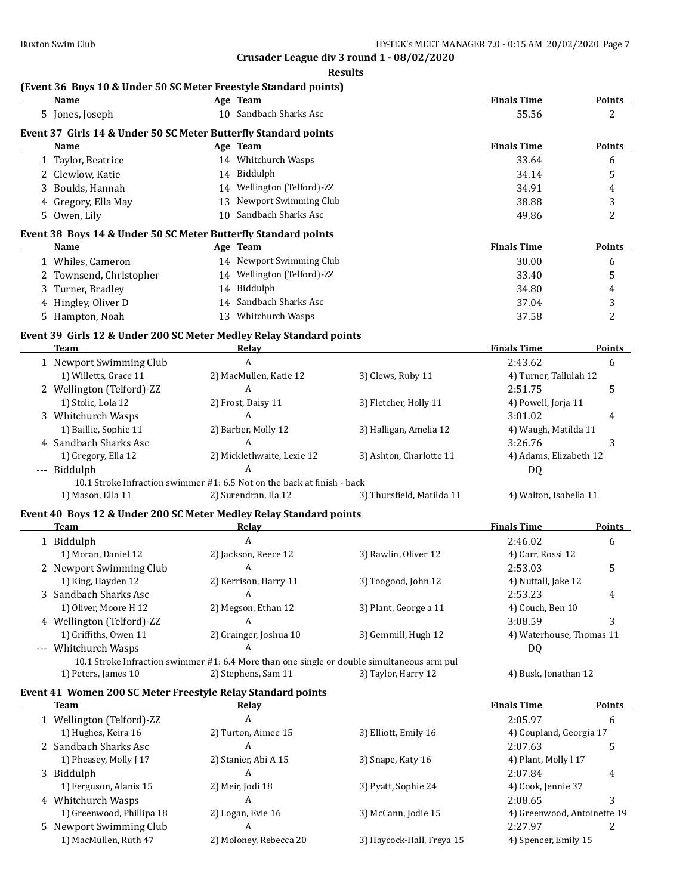**Results**

#### **(Event 36 Boys 10 & Under 50 SC Meter Freestyle Standard points) Name Age Team Age Team Finals Time Points**

| 5 Jones, Joseph           | 10 Sandbach Sharks Asc                                                                     |                           | 55.56                       | 2                       |
|---------------------------|--------------------------------------------------------------------------------------------|---------------------------|-----------------------------|-------------------------|
|                           | Event 37 Girls 14 & Under 50 SC Meter Butterfly Standard points                            |                           |                             |                         |
| Name                      | Age Team                                                                                   |                           | <b>Finals Time</b>          | <b>Points</b>           |
| 1 Taylor, Beatrice        | 14 Whitchurch Wasps                                                                        |                           | 33.64                       | 6                       |
| 2 Clewlow, Katie          | 14 Biddulph                                                                                |                           | 34.14                       | 5                       |
| 3 Boulds, Hannah          | 14 Wellington (Telford)-ZZ                                                                 |                           | 34.91                       | $\overline{\mathbf{4}}$ |
| 4 Gregory, Ella May       | 13 Newport Swimming Club                                                                   |                           | 38.88                       | 3                       |
| 5 Owen, Lily              | 10 Sandbach Sharks Asc                                                                     |                           | 49.86                       | $\overline{2}$          |
|                           | Event 38 Boys 14 & Under 50 SC Meter Butterfly Standard points                             |                           |                             |                         |
| Name                      | Age Team                                                                                   |                           | <b>Finals Time</b>          | <b>Points</b>           |
| 1 Whiles, Cameron         | 14 Newport Swimming Club                                                                   |                           | 30.00                       | 6                       |
| 2 Townsend, Christopher   | 14 Wellington (Telford)-ZZ                                                                 |                           | 33.40                       | 5                       |
| 3 Turner, Bradley         | 14 Biddulph                                                                                |                           | 34.80                       | 4                       |
| 4 Hingley, Oliver D       | 14 Sandbach Sharks Asc                                                                     |                           | 37.04                       | 3                       |
| 5 Hampton, Noah           | 13 Whitchurch Wasps                                                                        |                           | 37.58                       | 2                       |
|                           | Event 39 Girls 12 & Under 200 SC Meter Medley Relay Standard points                        |                           |                             |                         |
| <b>Team</b>               | Relay                                                                                      |                           | <b>Finals Time</b>          | <b>Points</b>           |
| 1 Newport Swimming Club   | A                                                                                          |                           | 2:43.62                     | 6                       |
| 1) Willetts, Grace 11     | 2) MacMullen, Katie 12                                                                     | 3) Clews, Ruby 11         | 4) Turner, Tallulah 12      |                         |
| 2 Wellington (Telford)-ZZ | A                                                                                          |                           | 2:51.75                     | 5                       |
| 1) Stolic, Lola 12        | 2) Frost, Daisy 11                                                                         | 3) Fletcher, Holly 11     | 4) Powell, Jorja 11         |                         |
| 3 Whitchurch Wasps        | A                                                                                          |                           | 3:01.02                     | 4                       |
| 1) Baillie, Sophie 11     | 2) Barber, Molly 12                                                                        | 3) Halligan, Amelia 12    | 4) Waugh, Matilda 11        |                         |
| 4 Sandbach Sharks Asc     | A                                                                                          |                           | 3:26.76                     | 3                       |
| 1) Gregory, Ella 12       | 2) Micklethwaite, Lexie 12                                                                 | 3) Ashton, Charlotte 11   | 4) Adams, Elizabeth 12      |                         |
| --- Biddulph              | A                                                                                          |                           | DQ                          |                         |
|                           | 10.1 Stroke Infraction swimmer #1: 6.5 Not on the back at finish - back                    |                           |                             |                         |
| 1) Mason, Ella 11         | 2) Surendran, Ila 12                                                                       | 3) Thursfield, Matilda 11 | 4) Walton, Isabella 11      |                         |
|                           | Event 40 Boys 12 & Under 200 SC Meter Medley Relay Standard points                         |                           |                             |                         |
| <b>Team</b>               | Relay                                                                                      |                           | <b>Finals Time</b>          | <b>Points</b>           |
| 1 Biddulph                | $\overline{A}$                                                                             |                           | 2:46.02                     | 6                       |
| 1) Moran, Daniel 12       | 2) Jackson, Reece 12                                                                       | 3) Rawlin, Oliver 12      | 4) Carr, Rossi 12           |                         |
| 2 Newport Swimming Club   | A                                                                                          |                           | 2:53.03                     | 5                       |
| 1) King, Hayden 12        | 2) Kerrison, Harry 11                                                                      | 3) Toogood, John 12       | 4) Nuttall, Jake 12         |                         |
| 3 Sandbach Sharks Asc     | A                                                                                          |                           | 2:53.23                     | 4                       |
| 1) Oliver, Moore H 12     | 2) Megson, Ethan 12                                                                        | 3) Plant, George a 11     | 4) Couch, Ben 10            |                         |
| 4 Wellington (Telford)-ZZ | A                                                                                          |                           | 3:08.59                     | 3                       |
| 1) Griffiths, Owen 11     | 2) Grainger, Joshua 10                                                                     | 3) Gemmill, Hugh 12       | 4) Waterhouse, Thomas 11    |                         |
| --- Whitchurch Wasps      | A                                                                                          |                           | DQ                          |                         |
|                           | 10.1 Stroke Infraction swimmer #1: 6.4 More than one single or double simultaneous arm pul |                           |                             |                         |
| 1) Peters, James 10       | 2) Stephens, Sam 11                                                                        | 3) Taylor, Harry 12       | 4) Busk, Jonathan 12        |                         |
|                           | Event 41 Women 200 SC Meter Freestyle Relay Standard points                                |                           |                             |                         |
| <b>Team</b>               | Relay                                                                                      |                           | <b>Finals Time</b>          | <b>Points</b>           |
| 1 Wellington (Telford)-ZZ | A                                                                                          |                           | 2:05.97                     | 6                       |
| 1) Hughes, Keira 16       | 2) Turton, Aimee 15                                                                        | 3) Elliott, Emily 16      | 4) Coupland, Georgia 17     |                         |
| 2 Sandbach Sharks Asc     | A                                                                                          |                           | 2:07.63                     | 5                       |
| 1) Pheasey, Molly J 17    | 2) Stanier, Abi A 15                                                                       | 3) Snape, Katy 16         | 4) Plant, Molly l 17        |                         |
| 3 Biddulph                | A                                                                                          |                           | 2:07.84                     | 4                       |
| 1) Ferguson, Alanis 15    | 2) Meir, Jodi 18                                                                           | 3) Pyatt, Sophie 24       | 4) Cook, Jennie 37          |                         |
| 4 Whitchurch Wasps        | A                                                                                          |                           | 2:08.65                     | 3                       |
| 1) Greenwood, Phillipa 18 | 2) Logan, Evie 16                                                                          | 3) McCann, Jodie 15       | 4) Greenwood, Antoinette 19 |                         |
| 5 Newport Swimming Club   | A                                                                                          |                           | 2:27.97                     | 2                       |
| 1) MacMullen, Ruth 47     | 2) Moloney, Rebecca 20                                                                     | 3) Haycock-Hall, Freya 15 | 4) Spencer, Emily 15        |                         |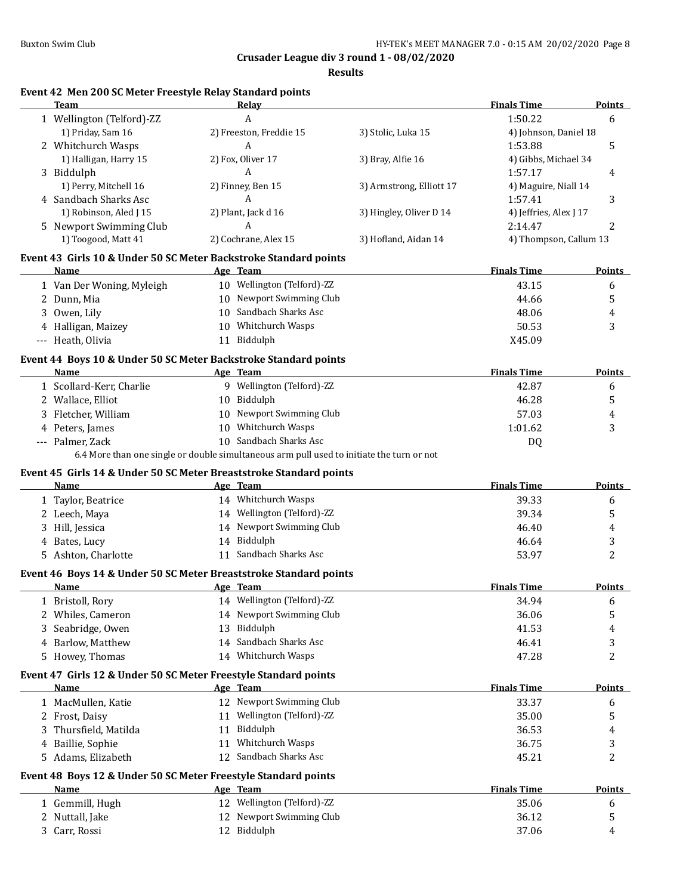**Results**

# **Event 42 Men 200 SC Meter Freestyle Relay Standard points**

| A<br>1:50.22<br>1 Wellington (Telford)-ZZ<br>6<br>1) Priday, Sam 16<br>2) Freeston, Freddie 15<br>3) Stolic, Luka 15<br>4) Johnson, Daniel 18<br>2 Whitchurch Wasps<br>A<br>1:53.88<br>5<br>1) Halligan, Harry 15<br>2) Fox, Oliver 17<br>3) Bray, Alfie 16<br>4) Gibbs, Michael 34<br>A<br>3 Biddulph<br>1:57.17<br>4<br>1) Perry, Mitchell 16<br>2) Finney, Ben 15<br>3) Armstrong, Elliott 17<br>4) Maguire, Niall 14<br>A<br>4 Sandbach Sharks Asc<br>1:57.41<br>3<br>1) Robinson, Aled J 15<br>2) Plant, Jack d 16<br>3) Hingley, Oliver D 14<br>4) Jeffries, Alex J 17<br>A<br>5 Newport Swimming Club<br>2:14.47<br>2<br>1) Toogood, Matt 41<br>2) Cochrane, Alex 15<br>3) Hofland, Aidan 14<br>4) Thompson, Callum 13<br>Event 43 Girls 10 & Under 50 SC Meter Backstroke Standard points<br>Age Team<br><b>Finals Time</b><br><b>Points</b><br>Name<br>10 Wellington (Telford)-ZZ<br>1 Van Der Woning, Myleigh<br>43.15<br>6<br>10 Newport Swimming Club<br>5<br>2 Dunn, Mia<br>44.66<br>10 Sandbach Sharks Asc<br>3 Owen, Lily<br>48.06<br>4<br>10 Whitchurch Wasps<br>4 Halligan, Maizey<br>50.53<br>3<br>11 Biddulph<br>--- Heath, Olivia<br>X45.09<br>Event 44 Boys 10 & Under 50 SC Meter Backstroke Standard points<br>Age Team<br><b>Finals Time</b><br>Name<br><b>Points</b><br>9 Wellington (Telford)-ZZ<br>1 Scollard-Kerr, Charlie<br>42.87<br>6<br>10 Biddulph<br>46.28<br>2 Wallace, Elliot<br>5<br>10 Newport Swimming Club<br>3 Fletcher, William<br>57.03<br>4<br>4 Peters, James<br>10 Whitchurch Wasps<br>1:01.62<br>3<br>10 Sandbach Sharks Asc<br>--- Palmer, Zack<br>DQ<br>6.4 More than one single or double simultaneous arm pull used to initiate the turn or not<br>Event 45 Girls 14 & Under 50 SC Meter Breaststroke Standard points<br><b>Finals Time</b><br>Name<br>Age Team<br><b>Points</b><br>14 Whitchurch Wasps<br>39.33<br>1 Taylor, Beatrice<br>6<br>14 Wellington (Telford)-ZZ<br>39.34<br>2 Leech, Maya<br>5<br>14 Newport Swimming Club<br>3 Hill, Jessica<br>46.40<br>4<br>14 Biddulph<br>4 Bates, Lucy<br>46.64<br>3<br>11 Sandbach Sharks Asc<br>2<br>5 Ashton, Charlotte<br>53.97<br>Event 46 Boys 14 & Under 50 SC Meter Breaststroke Standard points<br><b>Finals Time</b><br><b>Points</b><br>Name<br>Age Team<br>14 Wellington (Telford)-ZZ<br>34.94<br>1 Bristoll, Rory<br>6<br>14 Newport Swimming Club<br>36.06<br>5<br>2 Whiles, Cameron<br>13 Biddulph<br>41.53<br>Seabridge, Owen<br>4<br>Sandbach Sharks Asc<br>4 Barlow, Matthew<br>46.41<br>3<br>14<br>2<br>5 Howey, Thomas<br>14 Whitchurch Wasps<br>47.28<br>Event 47 Girls 12 & Under 50 SC Meter Freestyle Standard points<br><b>Finals Time</b><br>Age Team<br>Points<br>Name<br>12 Newport Swimming Club<br>1 MacMullen, Katie<br>33.37<br>6<br>11 Wellington (Telford)-ZZ<br>5<br>2 Frost, Daisy<br>35.00<br>Thursfield, Matilda<br>Biddulph<br>36.53<br>3<br>11<br>4<br>11 Whitchurch Wasps<br>4 Baillie, Sophie<br>36.75<br>3<br>2<br>12 Sandbach Sharks Asc<br>5 Adams, Elizabeth<br>45.21<br>Event 48 Boys 12 & Under 50 SC Meter Freestyle Standard points<br><b>Name</b><br>Age Team<br><b>Finals Time</b><br><b>Points</b><br>12 Wellington (Telford)-ZZ<br>1 Gemmill, Hugh<br>35.06<br>6<br>12 Newport Swimming Club<br>2 Nuttall, Jake<br>36.12<br>5<br>12 Biddulph<br>3 Carr, Rossi<br>37.06<br>4 | <b>Team</b> | Relay | <b>Finals Time</b> | <b>Points</b> |
|-------------------------------------------------------------------------------------------------------------------------------------------------------------------------------------------------------------------------------------------------------------------------------------------------------------------------------------------------------------------------------------------------------------------------------------------------------------------------------------------------------------------------------------------------------------------------------------------------------------------------------------------------------------------------------------------------------------------------------------------------------------------------------------------------------------------------------------------------------------------------------------------------------------------------------------------------------------------------------------------------------------------------------------------------------------------------------------------------------------------------------------------------------------------------------------------------------------------------------------------------------------------------------------------------------------------------------------------------------------------------------------------------------------------------------------------------------------------------------------------------------------------------------------------------------------------------------------------------------------------------------------------------------------------------------------------------------------------------------------------------------------------------------------------------------------------------------------------------------------------------------------------------------------------------------------------------------------------------------------------------------------------------------------------------------------------------------------------------------------------------------------------------------------------------------------------------------------------------------------------------------------------------------------------------------------------------------------------------------------------------------------------------------------------------------------------------------------------------------------------------------------------------------------------------------------------------------------------------------------------------------------------------------------------------------------------------------------------------------------------------------------------------------------------------------------------------------------------------------------------------------------------------------------------------------------------------------------------------------------------------------------------------------------------------------------------------------------------------------------------------------------------------------------------------------------------------------------------------------------------------------------------------------------------------------------------------------------|-------------|-------|--------------------|---------------|
|                                                                                                                                                                                                                                                                                                                                                                                                                                                                                                                                                                                                                                                                                                                                                                                                                                                                                                                                                                                                                                                                                                                                                                                                                                                                                                                                                                                                                                                                                                                                                                                                                                                                                                                                                                                                                                                                                                                                                                                                                                                                                                                                                                                                                                                                                                                                                                                                                                                                                                                                                                                                                                                                                                                                                                                                                                                                                                                                                                                                                                                                                                                                                                                                                                                                                                                                     |             |       |                    |               |
|                                                                                                                                                                                                                                                                                                                                                                                                                                                                                                                                                                                                                                                                                                                                                                                                                                                                                                                                                                                                                                                                                                                                                                                                                                                                                                                                                                                                                                                                                                                                                                                                                                                                                                                                                                                                                                                                                                                                                                                                                                                                                                                                                                                                                                                                                                                                                                                                                                                                                                                                                                                                                                                                                                                                                                                                                                                                                                                                                                                                                                                                                                                                                                                                                                                                                                                                     |             |       |                    |               |
|                                                                                                                                                                                                                                                                                                                                                                                                                                                                                                                                                                                                                                                                                                                                                                                                                                                                                                                                                                                                                                                                                                                                                                                                                                                                                                                                                                                                                                                                                                                                                                                                                                                                                                                                                                                                                                                                                                                                                                                                                                                                                                                                                                                                                                                                                                                                                                                                                                                                                                                                                                                                                                                                                                                                                                                                                                                                                                                                                                                                                                                                                                                                                                                                                                                                                                                                     |             |       |                    |               |
|                                                                                                                                                                                                                                                                                                                                                                                                                                                                                                                                                                                                                                                                                                                                                                                                                                                                                                                                                                                                                                                                                                                                                                                                                                                                                                                                                                                                                                                                                                                                                                                                                                                                                                                                                                                                                                                                                                                                                                                                                                                                                                                                                                                                                                                                                                                                                                                                                                                                                                                                                                                                                                                                                                                                                                                                                                                                                                                                                                                                                                                                                                                                                                                                                                                                                                                                     |             |       |                    |               |
|                                                                                                                                                                                                                                                                                                                                                                                                                                                                                                                                                                                                                                                                                                                                                                                                                                                                                                                                                                                                                                                                                                                                                                                                                                                                                                                                                                                                                                                                                                                                                                                                                                                                                                                                                                                                                                                                                                                                                                                                                                                                                                                                                                                                                                                                                                                                                                                                                                                                                                                                                                                                                                                                                                                                                                                                                                                                                                                                                                                                                                                                                                                                                                                                                                                                                                                                     |             |       |                    |               |
|                                                                                                                                                                                                                                                                                                                                                                                                                                                                                                                                                                                                                                                                                                                                                                                                                                                                                                                                                                                                                                                                                                                                                                                                                                                                                                                                                                                                                                                                                                                                                                                                                                                                                                                                                                                                                                                                                                                                                                                                                                                                                                                                                                                                                                                                                                                                                                                                                                                                                                                                                                                                                                                                                                                                                                                                                                                                                                                                                                                                                                                                                                                                                                                                                                                                                                                                     |             |       |                    |               |
|                                                                                                                                                                                                                                                                                                                                                                                                                                                                                                                                                                                                                                                                                                                                                                                                                                                                                                                                                                                                                                                                                                                                                                                                                                                                                                                                                                                                                                                                                                                                                                                                                                                                                                                                                                                                                                                                                                                                                                                                                                                                                                                                                                                                                                                                                                                                                                                                                                                                                                                                                                                                                                                                                                                                                                                                                                                                                                                                                                                                                                                                                                                                                                                                                                                                                                                                     |             |       |                    |               |
|                                                                                                                                                                                                                                                                                                                                                                                                                                                                                                                                                                                                                                                                                                                                                                                                                                                                                                                                                                                                                                                                                                                                                                                                                                                                                                                                                                                                                                                                                                                                                                                                                                                                                                                                                                                                                                                                                                                                                                                                                                                                                                                                                                                                                                                                                                                                                                                                                                                                                                                                                                                                                                                                                                                                                                                                                                                                                                                                                                                                                                                                                                                                                                                                                                                                                                                                     |             |       |                    |               |
|                                                                                                                                                                                                                                                                                                                                                                                                                                                                                                                                                                                                                                                                                                                                                                                                                                                                                                                                                                                                                                                                                                                                                                                                                                                                                                                                                                                                                                                                                                                                                                                                                                                                                                                                                                                                                                                                                                                                                                                                                                                                                                                                                                                                                                                                                                                                                                                                                                                                                                                                                                                                                                                                                                                                                                                                                                                                                                                                                                                                                                                                                                                                                                                                                                                                                                                                     |             |       |                    |               |
|                                                                                                                                                                                                                                                                                                                                                                                                                                                                                                                                                                                                                                                                                                                                                                                                                                                                                                                                                                                                                                                                                                                                                                                                                                                                                                                                                                                                                                                                                                                                                                                                                                                                                                                                                                                                                                                                                                                                                                                                                                                                                                                                                                                                                                                                                                                                                                                                                                                                                                                                                                                                                                                                                                                                                                                                                                                                                                                                                                                                                                                                                                                                                                                                                                                                                                                                     |             |       |                    |               |
|                                                                                                                                                                                                                                                                                                                                                                                                                                                                                                                                                                                                                                                                                                                                                                                                                                                                                                                                                                                                                                                                                                                                                                                                                                                                                                                                                                                                                                                                                                                                                                                                                                                                                                                                                                                                                                                                                                                                                                                                                                                                                                                                                                                                                                                                                                                                                                                                                                                                                                                                                                                                                                                                                                                                                                                                                                                                                                                                                                                                                                                                                                                                                                                                                                                                                                                                     |             |       |                    |               |
|                                                                                                                                                                                                                                                                                                                                                                                                                                                                                                                                                                                                                                                                                                                                                                                                                                                                                                                                                                                                                                                                                                                                                                                                                                                                                                                                                                                                                                                                                                                                                                                                                                                                                                                                                                                                                                                                                                                                                                                                                                                                                                                                                                                                                                                                                                                                                                                                                                                                                                                                                                                                                                                                                                                                                                                                                                                                                                                                                                                                                                                                                                                                                                                                                                                                                                                                     |             |       |                    |               |
|                                                                                                                                                                                                                                                                                                                                                                                                                                                                                                                                                                                                                                                                                                                                                                                                                                                                                                                                                                                                                                                                                                                                                                                                                                                                                                                                                                                                                                                                                                                                                                                                                                                                                                                                                                                                                                                                                                                                                                                                                                                                                                                                                                                                                                                                                                                                                                                                                                                                                                                                                                                                                                                                                                                                                                                                                                                                                                                                                                                                                                                                                                                                                                                                                                                                                                                                     |             |       |                    |               |
|                                                                                                                                                                                                                                                                                                                                                                                                                                                                                                                                                                                                                                                                                                                                                                                                                                                                                                                                                                                                                                                                                                                                                                                                                                                                                                                                                                                                                                                                                                                                                                                                                                                                                                                                                                                                                                                                                                                                                                                                                                                                                                                                                                                                                                                                                                                                                                                                                                                                                                                                                                                                                                                                                                                                                                                                                                                                                                                                                                                                                                                                                                                                                                                                                                                                                                                                     |             |       |                    |               |
|                                                                                                                                                                                                                                                                                                                                                                                                                                                                                                                                                                                                                                                                                                                                                                                                                                                                                                                                                                                                                                                                                                                                                                                                                                                                                                                                                                                                                                                                                                                                                                                                                                                                                                                                                                                                                                                                                                                                                                                                                                                                                                                                                                                                                                                                                                                                                                                                                                                                                                                                                                                                                                                                                                                                                                                                                                                                                                                                                                                                                                                                                                                                                                                                                                                                                                                                     |             |       |                    |               |
|                                                                                                                                                                                                                                                                                                                                                                                                                                                                                                                                                                                                                                                                                                                                                                                                                                                                                                                                                                                                                                                                                                                                                                                                                                                                                                                                                                                                                                                                                                                                                                                                                                                                                                                                                                                                                                                                                                                                                                                                                                                                                                                                                                                                                                                                                                                                                                                                                                                                                                                                                                                                                                                                                                                                                                                                                                                                                                                                                                                                                                                                                                                                                                                                                                                                                                                                     |             |       |                    |               |
|                                                                                                                                                                                                                                                                                                                                                                                                                                                                                                                                                                                                                                                                                                                                                                                                                                                                                                                                                                                                                                                                                                                                                                                                                                                                                                                                                                                                                                                                                                                                                                                                                                                                                                                                                                                                                                                                                                                                                                                                                                                                                                                                                                                                                                                                                                                                                                                                                                                                                                                                                                                                                                                                                                                                                                                                                                                                                                                                                                                                                                                                                                                                                                                                                                                                                                                                     |             |       |                    |               |
|                                                                                                                                                                                                                                                                                                                                                                                                                                                                                                                                                                                                                                                                                                                                                                                                                                                                                                                                                                                                                                                                                                                                                                                                                                                                                                                                                                                                                                                                                                                                                                                                                                                                                                                                                                                                                                                                                                                                                                                                                                                                                                                                                                                                                                                                                                                                                                                                                                                                                                                                                                                                                                                                                                                                                                                                                                                                                                                                                                                                                                                                                                                                                                                                                                                                                                                                     |             |       |                    |               |
|                                                                                                                                                                                                                                                                                                                                                                                                                                                                                                                                                                                                                                                                                                                                                                                                                                                                                                                                                                                                                                                                                                                                                                                                                                                                                                                                                                                                                                                                                                                                                                                                                                                                                                                                                                                                                                                                                                                                                                                                                                                                                                                                                                                                                                                                                                                                                                                                                                                                                                                                                                                                                                                                                                                                                                                                                                                                                                                                                                                                                                                                                                                                                                                                                                                                                                                                     |             |       |                    |               |
|                                                                                                                                                                                                                                                                                                                                                                                                                                                                                                                                                                                                                                                                                                                                                                                                                                                                                                                                                                                                                                                                                                                                                                                                                                                                                                                                                                                                                                                                                                                                                                                                                                                                                                                                                                                                                                                                                                                                                                                                                                                                                                                                                                                                                                                                                                                                                                                                                                                                                                                                                                                                                                                                                                                                                                                                                                                                                                                                                                                                                                                                                                                                                                                                                                                                                                                                     |             |       |                    |               |
|                                                                                                                                                                                                                                                                                                                                                                                                                                                                                                                                                                                                                                                                                                                                                                                                                                                                                                                                                                                                                                                                                                                                                                                                                                                                                                                                                                                                                                                                                                                                                                                                                                                                                                                                                                                                                                                                                                                                                                                                                                                                                                                                                                                                                                                                                                                                                                                                                                                                                                                                                                                                                                                                                                                                                                                                                                                                                                                                                                                                                                                                                                                                                                                                                                                                                                                                     |             |       |                    |               |
|                                                                                                                                                                                                                                                                                                                                                                                                                                                                                                                                                                                                                                                                                                                                                                                                                                                                                                                                                                                                                                                                                                                                                                                                                                                                                                                                                                                                                                                                                                                                                                                                                                                                                                                                                                                                                                                                                                                                                                                                                                                                                                                                                                                                                                                                                                                                                                                                                                                                                                                                                                                                                                                                                                                                                                                                                                                                                                                                                                                                                                                                                                                                                                                                                                                                                                                                     |             |       |                    |               |
|                                                                                                                                                                                                                                                                                                                                                                                                                                                                                                                                                                                                                                                                                                                                                                                                                                                                                                                                                                                                                                                                                                                                                                                                                                                                                                                                                                                                                                                                                                                                                                                                                                                                                                                                                                                                                                                                                                                                                                                                                                                                                                                                                                                                                                                                                                                                                                                                                                                                                                                                                                                                                                                                                                                                                                                                                                                                                                                                                                                                                                                                                                                                                                                                                                                                                                                                     |             |       |                    |               |
|                                                                                                                                                                                                                                                                                                                                                                                                                                                                                                                                                                                                                                                                                                                                                                                                                                                                                                                                                                                                                                                                                                                                                                                                                                                                                                                                                                                                                                                                                                                                                                                                                                                                                                                                                                                                                                                                                                                                                                                                                                                                                                                                                                                                                                                                                                                                                                                                                                                                                                                                                                                                                                                                                                                                                                                                                                                                                                                                                                                                                                                                                                                                                                                                                                                                                                                                     |             |       |                    |               |
|                                                                                                                                                                                                                                                                                                                                                                                                                                                                                                                                                                                                                                                                                                                                                                                                                                                                                                                                                                                                                                                                                                                                                                                                                                                                                                                                                                                                                                                                                                                                                                                                                                                                                                                                                                                                                                                                                                                                                                                                                                                                                                                                                                                                                                                                                                                                                                                                                                                                                                                                                                                                                                                                                                                                                                                                                                                                                                                                                                                                                                                                                                                                                                                                                                                                                                                                     |             |       |                    |               |
|                                                                                                                                                                                                                                                                                                                                                                                                                                                                                                                                                                                                                                                                                                                                                                                                                                                                                                                                                                                                                                                                                                                                                                                                                                                                                                                                                                                                                                                                                                                                                                                                                                                                                                                                                                                                                                                                                                                                                                                                                                                                                                                                                                                                                                                                                                                                                                                                                                                                                                                                                                                                                                                                                                                                                                                                                                                                                                                                                                                                                                                                                                                                                                                                                                                                                                                                     |             |       |                    |               |
|                                                                                                                                                                                                                                                                                                                                                                                                                                                                                                                                                                                                                                                                                                                                                                                                                                                                                                                                                                                                                                                                                                                                                                                                                                                                                                                                                                                                                                                                                                                                                                                                                                                                                                                                                                                                                                                                                                                                                                                                                                                                                                                                                                                                                                                                                                                                                                                                                                                                                                                                                                                                                                                                                                                                                                                                                                                                                                                                                                                                                                                                                                                                                                                                                                                                                                                                     |             |       |                    |               |
|                                                                                                                                                                                                                                                                                                                                                                                                                                                                                                                                                                                                                                                                                                                                                                                                                                                                                                                                                                                                                                                                                                                                                                                                                                                                                                                                                                                                                                                                                                                                                                                                                                                                                                                                                                                                                                                                                                                                                                                                                                                                                                                                                                                                                                                                                                                                                                                                                                                                                                                                                                                                                                                                                                                                                                                                                                                                                                                                                                                                                                                                                                                                                                                                                                                                                                                                     |             |       |                    |               |
|                                                                                                                                                                                                                                                                                                                                                                                                                                                                                                                                                                                                                                                                                                                                                                                                                                                                                                                                                                                                                                                                                                                                                                                                                                                                                                                                                                                                                                                                                                                                                                                                                                                                                                                                                                                                                                                                                                                                                                                                                                                                                                                                                                                                                                                                                                                                                                                                                                                                                                                                                                                                                                                                                                                                                                                                                                                                                                                                                                                                                                                                                                                                                                                                                                                                                                                                     |             |       |                    |               |
|                                                                                                                                                                                                                                                                                                                                                                                                                                                                                                                                                                                                                                                                                                                                                                                                                                                                                                                                                                                                                                                                                                                                                                                                                                                                                                                                                                                                                                                                                                                                                                                                                                                                                                                                                                                                                                                                                                                                                                                                                                                                                                                                                                                                                                                                                                                                                                                                                                                                                                                                                                                                                                                                                                                                                                                                                                                                                                                                                                                                                                                                                                                                                                                                                                                                                                                                     |             |       |                    |               |
|                                                                                                                                                                                                                                                                                                                                                                                                                                                                                                                                                                                                                                                                                                                                                                                                                                                                                                                                                                                                                                                                                                                                                                                                                                                                                                                                                                                                                                                                                                                                                                                                                                                                                                                                                                                                                                                                                                                                                                                                                                                                                                                                                                                                                                                                                                                                                                                                                                                                                                                                                                                                                                                                                                                                                                                                                                                                                                                                                                                                                                                                                                                                                                                                                                                                                                                                     |             |       |                    |               |
|                                                                                                                                                                                                                                                                                                                                                                                                                                                                                                                                                                                                                                                                                                                                                                                                                                                                                                                                                                                                                                                                                                                                                                                                                                                                                                                                                                                                                                                                                                                                                                                                                                                                                                                                                                                                                                                                                                                                                                                                                                                                                                                                                                                                                                                                                                                                                                                                                                                                                                                                                                                                                                                                                                                                                                                                                                                                                                                                                                                                                                                                                                                                                                                                                                                                                                                                     |             |       |                    |               |
|                                                                                                                                                                                                                                                                                                                                                                                                                                                                                                                                                                                                                                                                                                                                                                                                                                                                                                                                                                                                                                                                                                                                                                                                                                                                                                                                                                                                                                                                                                                                                                                                                                                                                                                                                                                                                                                                                                                                                                                                                                                                                                                                                                                                                                                                                                                                                                                                                                                                                                                                                                                                                                                                                                                                                                                                                                                                                                                                                                                                                                                                                                                                                                                                                                                                                                                                     |             |       |                    |               |
|                                                                                                                                                                                                                                                                                                                                                                                                                                                                                                                                                                                                                                                                                                                                                                                                                                                                                                                                                                                                                                                                                                                                                                                                                                                                                                                                                                                                                                                                                                                                                                                                                                                                                                                                                                                                                                                                                                                                                                                                                                                                                                                                                                                                                                                                                                                                                                                                                                                                                                                                                                                                                                                                                                                                                                                                                                                                                                                                                                                                                                                                                                                                                                                                                                                                                                                                     |             |       |                    |               |
|                                                                                                                                                                                                                                                                                                                                                                                                                                                                                                                                                                                                                                                                                                                                                                                                                                                                                                                                                                                                                                                                                                                                                                                                                                                                                                                                                                                                                                                                                                                                                                                                                                                                                                                                                                                                                                                                                                                                                                                                                                                                                                                                                                                                                                                                                                                                                                                                                                                                                                                                                                                                                                                                                                                                                                                                                                                                                                                                                                                                                                                                                                                                                                                                                                                                                                                                     |             |       |                    |               |
|                                                                                                                                                                                                                                                                                                                                                                                                                                                                                                                                                                                                                                                                                                                                                                                                                                                                                                                                                                                                                                                                                                                                                                                                                                                                                                                                                                                                                                                                                                                                                                                                                                                                                                                                                                                                                                                                                                                                                                                                                                                                                                                                                                                                                                                                                                                                                                                                                                                                                                                                                                                                                                                                                                                                                                                                                                                                                                                                                                                                                                                                                                                                                                                                                                                                                                                                     |             |       |                    |               |
|                                                                                                                                                                                                                                                                                                                                                                                                                                                                                                                                                                                                                                                                                                                                                                                                                                                                                                                                                                                                                                                                                                                                                                                                                                                                                                                                                                                                                                                                                                                                                                                                                                                                                                                                                                                                                                                                                                                                                                                                                                                                                                                                                                                                                                                                                                                                                                                                                                                                                                                                                                                                                                                                                                                                                                                                                                                                                                                                                                                                                                                                                                                                                                                                                                                                                                                                     |             |       |                    |               |
|                                                                                                                                                                                                                                                                                                                                                                                                                                                                                                                                                                                                                                                                                                                                                                                                                                                                                                                                                                                                                                                                                                                                                                                                                                                                                                                                                                                                                                                                                                                                                                                                                                                                                                                                                                                                                                                                                                                                                                                                                                                                                                                                                                                                                                                                                                                                                                                                                                                                                                                                                                                                                                                                                                                                                                                                                                                                                                                                                                                                                                                                                                                                                                                                                                                                                                                                     |             |       |                    |               |
|                                                                                                                                                                                                                                                                                                                                                                                                                                                                                                                                                                                                                                                                                                                                                                                                                                                                                                                                                                                                                                                                                                                                                                                                                                                                                                                                                                                                                                                                                                                                                                                                                                                                                                                                                                                                                                                                                                                                                                                                                                                                                                                                                                                                                                                                                                                                                                                                                                                                                                                                                                                                                                                                                                                                                                                                                                                                                                                                                                                                                                                                                                                                                                                                                                                                                                                                     |             |       |                    |               |
|                                                                                                                                                                                                                                                                                                                                                                                                                                                                                                                                                                                                                                                                                                                                                                                                                                                                                                                                                                                                                                                                                                                                                                                                                                                                                                                                                                                                                                                                                                                                                                                                                                                                                                                                                                                                                                                                                                                                                                                                                                                                                                                                                                                                                                                                                                                                                                                                                                                                                                                                                                                                                                                                                                                                                                                                                                                                                                                                                                                                                                                                                                                                                                                                                                                                                                                                     |             |       |                    |               |
|                                                                                                                                                                                                                                                                                                                                                                                                                                                                                                                                                                                                                                                                                                                                                                                                                                                                                                                                                                                                                                                                                                                                                                                                                                                                                                                                                                                                                                                                                                                                                                                                                                                                                                                                                                                                                                                                                                                                                                                                                                                                                                                                                                                                                                                                                                                                                                                                                                                                                                                                                                                                                                                                                                                                                                                                                                                                                                                                                                                                                                                                                                                                                                                                                                                                                                                                     |             |       |                    |               |
|                                                                                                                                                                                                                                                                                                                                                                                                                                                                                                                                                                                                                                                                                                                                                                                                                                                                                                                                                                                                                                                                                                                                                                                                                                                                                                                                                                                                                                                                                                                                                                                                                                                                                                                                                                                                                                                                                                                                                                                                                                                                                                                                                                                                                                                                                                                                                                                                                                                                                                                                                                                                                                                                                                                                                                                                                                                                                                                                                                                                                                                                                                                                                                                                                                                                                                                                     |             |       |                    |               |
|                                                                                                                                                                                                                                                                                                                                                                                                                                                                                                                                                                                                                                                                                                                                                                                                                                                                                                                                                                                                                                                                                                                                                                                                                                                                                                                                                                                                                                                                                                                                                                                                                                                                                                                                                                                                                                                                                                                                                                                                                                                                                                                                                                                                                                                                                                                                                                                                                                                                                                                                                                                                                                                                                                                                                                                                                                                                                                                                                                                                                                                                                                                                                                                                                                                                                                                                     |             |       |                    |               |
|                                                                                                                                                                                                                                                                                                                                                                                                                                                                                                                                                                                                                                                                                                                                                                                                                                                                                                                                                                                                                                                                                                                                                                                                                                                                                                                                                                                                                                                                                                                                                                                                                                                                                                                                                                                                                                                                                                                                                                                                                                                                                                                                                                                                                                                                                                                                                                                                                                                                                                                                                                                                                                                                                                                                                                                                                                                                                                                                                                                                                                                                                                                                                                                                                                                                                                                                     |             |       |                    |               |
|                                                                                                                                                                                                                                                                                                                                                                                                                                                                                                                                                                                                                                                                                                                                                                                                                                                                                                                                                                                                                                                                                                                                                                                                                                                                                                                                                                                                                                                                                                                                                                                                                                                                                                                                                                                                                                                                                                                                                                                                                                                                                                                                                                                                                                                                                                                                                                                                                                                                                                                                                                                                                                                                                                                                                                                                                                                                                                                                                                                                                                                                                                                                                                                                                                                                                                                                     |             |       |                    |               |
|                                                                                                                                                                                                                                                                                                                                                                                                                                                                                                                                                                                                                                                                                                                                                                                                                                                                                                                                                                                                                                                                                                                                                                                                                                                                                                                                                                                                                                                                                                                                                                                                                                                                                                                                                                                                                                                                                                                                                                                                                                                                                                                                                                                                                                                                                                                                                                                                                                                                                                                                                                                                                                                                                                                                                                                                                                                                                                                                                                                                                                                                                                                                                                                                                                                                                                                                     |             |       |                    |               |
|                                                                                                                                                                                                                                                                                                                                                                                                                                                                                                                                                                                                                                                                                                                                                                                                                                                                                                                                                                                                                                                                                                                                                                                                                                                                                                                                                                                                                                                                                                                                                                                                                                                                                                                                                                                                                                                                                                                                                                                                                                                                                                                                                                                                                                                                                                                                                                                                                                                                                                                                                                                                                                                                                                                                                                                                                                                                                                                                                                                                                                                                                                                                                                                                                                                                                                                                     |             |       |                    |               |
|                                                                                                                                                                                                                                                                                                                                                                                                                                                                                                                                                                                                                                                                                                                                                                                                                                                                                                                                                                                                                                                                                                                                                                                                                                                                                                                                                                                                                                                                                                                                                                                                                                                                                                                                                                                                                                                                                                                                                                                                                                                                                                                                                                                                                                                                                                                                                                                                                                                                                                                                                                                                                                                                                                                                                                                                                                                                                                                                                                                                                                                                                                                                                                                                                                                                                                                                     |             |       |                    |               |
|                                                                                                                                                                                                                                                                                                                                                                                                                                                                                                                                                                                                                                                                                                                                                                                                                                                                                                                                                                                                                                                                                                                                                                                                                                                                                                                                                                                                                                                                                                                                                                                                                                                                                                                                                                                                                                                                                                                                                                                                                                                                                                                                                                                                                                                                                                                                                                                                                                                                                                                                                                                                                                                                                                                                                                                                                                                                                                                                                                                                                                                                                                                                                                                                                                                                                                                                     |             |       |                    |               |
|                                                                                                                                                                                                                                                                                                                                                                                                                                                                                                                                                                                                                                                                                                                                                                                                                                                                                                                                                                                                                                                                                                                                                                                                                                                                                                                                                                                                                                                                                                                                                                                                                                                                                                                                                                                                                                                                                                                                                                                                                                                                                                                                                                                                                                                                                                                                                                                                                                                                                                                                                                                                                                                                                                                                                                                                                                                                                                                                                                                                                                                                                                                                                                                                                                                                                                                                     |             |       |                    |               |
|                                                                                                                                                                                                                                                                                                                                                                                                                                                                                                                                                                                                                                                                                                                                                                                                                                                                                                                                                                                                                                                                                                                                                                                                                                                                                                                                                                                                                                                                                                                                                                                                                                                                                                                                                                                                                                                                                                                                                                                                                                                                                                                                                                                                                                                                                                                                                                                                                                                                                                                                                                                                                                                                                                                                                                                                                                                                                                                                                                                                                                                                                                                                                                                                                                                                                                                                     |             |       |                    |               |
|                                                                                                                                                                                                                                                                                                                                                                                                                                                                                                                                                                                                                                                                                                                                                                                                                                                                                                                                                                                                                                                                                                                                                                                                                                                                                                                                                                                                                                                                                                                                                                                                                                                                                                                                                                                                                                                                                                                                                                                                                                                                                                                                                                                                                                                                                                                                                                                                                                                                                                                                                                                                                                                                                                                                                                                                                                                                                                                                                                                                                                                                                                                                                                                                                                                                                                                                     |             |       |                    |               |
|                                                                                                                                                                                                                                                                                                                                                                                                                                                                                                                                                                                                                                                                                                                                                                                                                                                                                                                                                                                                                                                                                                                                                                                                                                                                                                                                                                                                                                                                                                                                                                                                                                                                                                                                                                                                                                                                                                                                                                                                                                                                                                                                                                                                                                                                                                                                                                                                                                                                                                                                                                                                                                                                                                                                                                                                                                                                                                                                                                                                                                                                                                                                                                                                                                                                                                                                     |             |       |                    |               |